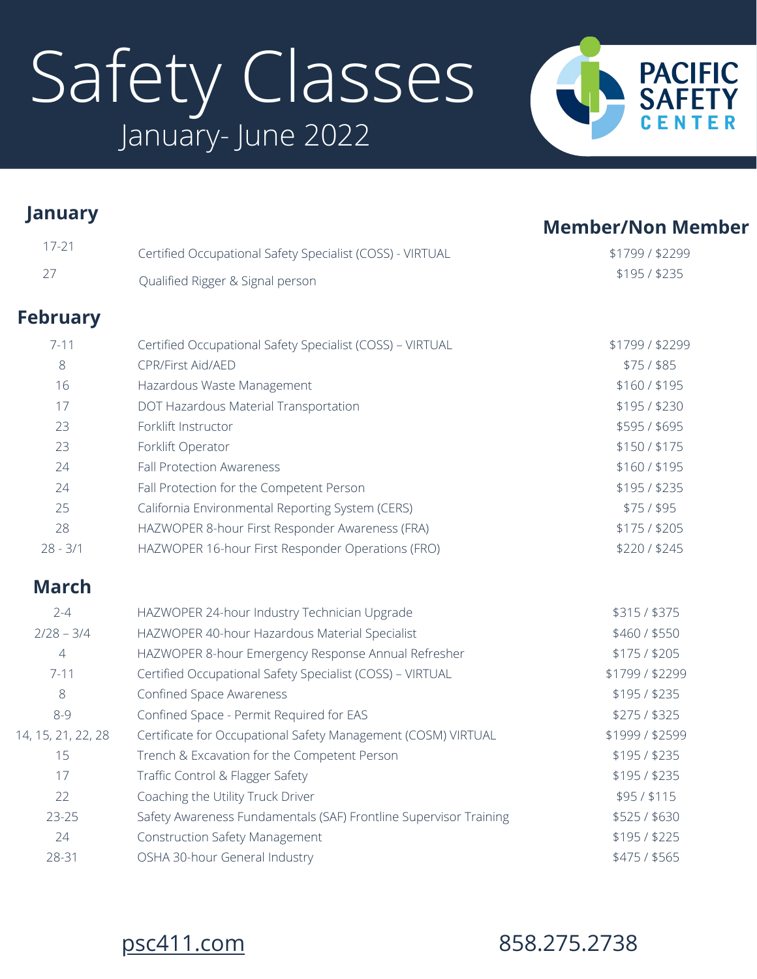# Safety Classes January- June 2022



| <b>January</b>     |                                                                   | <b>Member/Non Member</b> |
|--------------------|-------------------------------------------------------------------|--------------------------|
| $17 - 21$          | Certified Occupational Safety Specialist (COSS) - VIRTUAL         | \$1799 / \$2299          |
| 27                 | Qualified Rigger & Signal person                                  | \$195/\$235              |
| <b>February</b>    |                                                                   |                          |
| $7 - 11$           | Certified Occupational Safety Specialist (COSS) - VIRTUAL         | \$1799 / \$2299          |
| 8                  | <b>CPR/First Aid/AED</b>                                          | $$75/$ \$85              |
| 16                 | Hazardous Waste Management                                        | \$160/\$195              |
| 17                 | DOT Hazardous Material Transportation                             | \$195/\$230              |
| 23                 | Forklift Instructor                                               | \$595/\$695              |
| 23                 | Forklift Operator                                                 | \$150 / \$175            |
| 24                 | <b>Fall Protection Awareness</b>                                  | \$160/\$195              |
| 24                 | Fall Protection for the Competent Person                          | \$195/\$235              |
| 25                 | California Environmental Reporting System (CERS)                  | \$75/\$95                |
| 28                 | HAZWOPER 8-hour First Responder Awareness (FRA)                   | \$175/\$205              |
| $28 - 3/1$         | HAZWOPER 16-hour First Responder Operations (FRO)                 | \$220/\$245              |
| <b>March</b>       |                                                                   |                          |
| $2 - 4$            | HAZWOPER 24-hour Industry Technician Upgrade                      | \$315/\$375              |
| $2/28 - 3/4$       | HAZWOPER 40-hour Hazardous Material Specialist                    | \$460 / \$550            |
| $\overline{4}$     | HAZWOPER 8-hour Emergency Response Annual Refresher               | \$175/\$205              |
| $7 - 11$           | Certified Occupational Safety Specialist (COSS) - VIRTUAL         | \$1799/\$2299            |
| 8                  | Confined Space Awareness                                          | \$195/\$235              |
| $8 - 9$            | Confined Space - Permit Required for EAS                          | \$275/\$325              |
| 14, 15, 21, 22, 28 | Certificate for Occupational Safety Management (COSM) VIRTUAL     | \$1999 / \$2599          |
| 15                 | Trench & Excavation for the Competent Person                      | \$195/\$235              |
| 17                 | Traffic Control & Flagger Safety                                  | \$195/\$235              |
| 22                 | Coaching the Utility Truck Driver                                 | \$95/\$115               |
| 23-25              | Safety Awareness Fundamentals (SAF) Frontline Supervisor Training | \$525/\$630              |
| 24                 | <b>Construction Safety Management</b>                             | \$195/\$225              |
| 28-31              | OSHA 30-hour General Industry                                     | \$475 / \$565            |



### [psc411.com](http://psc411.com/) 858.275.2738